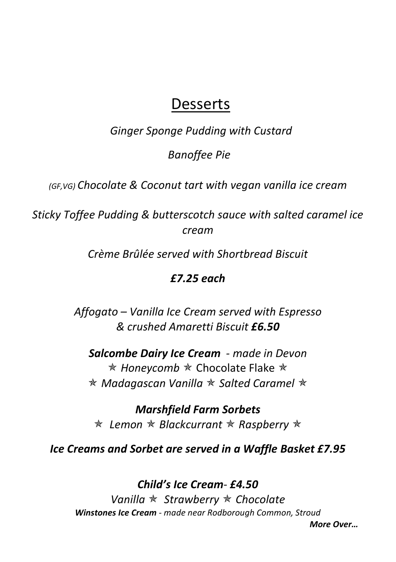# Desserts

Ginger Sponge Pudding with Custard

Banoffee Pie

(GF,VG) Chocolate & Coconut tart with vegan vanilla ice cream

Sticky Toffee Pudding & butterscotch sauce with salted caramel ice cream

Crème Brûlée served with Shortbread Biscuit

# £7.25 each

Affogato – Vanilla Ice Cream served with Espresso & crushed Amaretti Biscuit £6.50

Salcombe Dairy Ice Cream - made in Devon  $*$  Honeycomb  $*$  Chocolate Flake  $*$  $*$  Madagascan Vanilla  $*$  Salted Caramel  $*$ 

Marshfield Farm Sorbets  $\star$  Lemon  $\star$  Blackcurrant  $\star$  Raspberry  $\star$ 

Ice Creams and Sorbet are served in a Waffle Basket £7.95

Child's Ice Cream- £4.50 Vanilla  $\star$  Strawberry  $\star$  Chocolate Winstones Ice Cream - made near Rodborough Common, Stroud More Over…